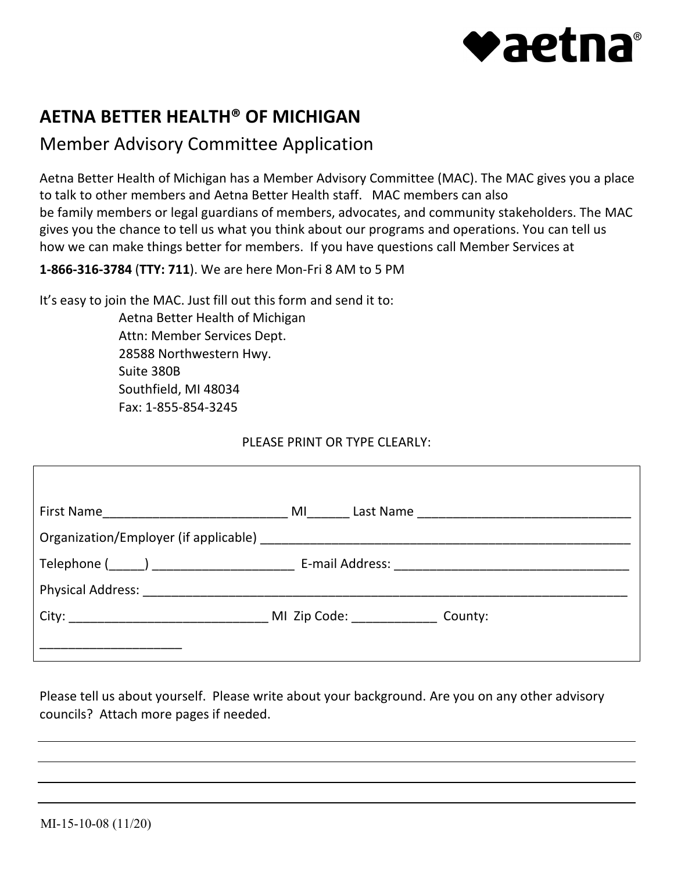

# **AETNA BETTER HEALTH® OF MICHIGAN**

# Member Advisory Committee Application

 Aetna Better Health of Michigan has a Member Advisory Committee (MAC). The MAC gives you a place to talk to other members and Aetna Better Health staff. MAC members can also be family members or legal guardians of members, advocates, and community stakeholders. The MAC gives you the chance to tell us what you think about our programs and operations. You can tell us how we can make things better for members. If you have questions call Member Services at

**1-866-316-3784** (**TTY: 711**). We are here Mon-Fri 8 AM to 5 PM

It's easy to join the MAC. Just fill out this form and send it to:

Aetna Better Health of Michigan Attn: Member Services Dept. 28588 Northwestern Hwy. Suite 380B Southfield, MI 48034 Fax: 1-855-854-3245

### PLEASE PRINT OR TYPE CLEARLY:

 Please tell us about yourself. Please write about your background. Are you on any other advisory councils? Attach more pages if needed.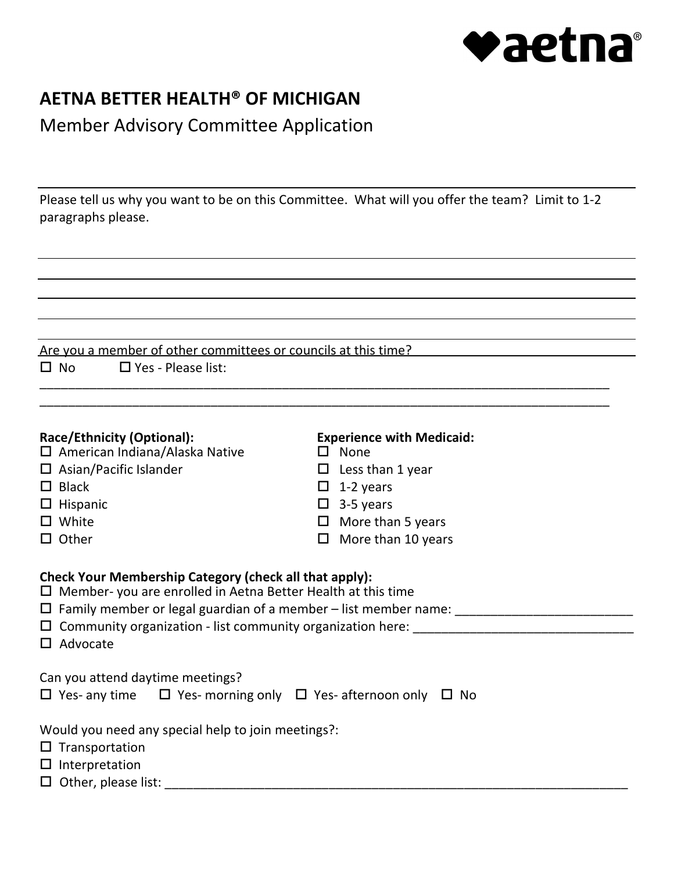

### **AETNA BETTER HEALTH® OF MICHIGAN**

 Member Advisory Committee Application

 Please tell us why you want to be on this Committee. What will you offer the team? Limit to 1-2 paragraphs please.

\_\_\_\_\_\_\_\_\_\_\_ \_\_\_\_\_\_\_\_\_\_\_\_\_\_\_\_\_\_\_\_\_\_\_\_\_\_\_\_\_\_\_\_\_\_\_\_\_\_\_\_\_\_\_\_\_\_\_\_\_\_\_\_\_\_\_\_\_\_\_\_\_\_\_\_\_\_ \_\_\_\_\_\_\_\_\_\_\_\_\_\_\_\_\_\_\_\_\_\_\_\_\_\_\_\_\_\_\_\_\_\_\_\_\_\_\_\_\_\_\_\_\_\_\_\_\_\_\_\_\_\_\_\_\_\_\_\_\_\_\_\_\_\_\_\_\_\_\_\_\_\_\_\_\_\_\_\_

|           | Are you a member of other committees or councils at this time? |  |  |  |  |
|-----------|----------------------------------------------------------------|--|--|--|--|
| $\Box$ No | $\Box$ Yes - Please list:                                      |  |  |  |  |

 $\overline{\phantom{a}}$ 

| Race/Ethnicity (Optional):                                                                                                                                                                                | <b>Experience with Medicaid:</b> |  |  |  |  |  |
|-----------------------------------------------------------------------------------------------------------------------------------------------------------------------------------------------------------|----------------------------------|--|--|--|--|--|
| $\Box$ American Indiana/Alaska Native                                                                                                                                                                     | $\square$ None                   |  |  |  |  |  |
| $\Box$ Asian/Pacific Islander                                                                                                                                                                             | Less than 1 year<br>$\Box$       |  |  |  |  |  |
| $\Box$ Black                                                                                                                                                                                              | $\Box$ 1-2 years                 |  |  |  |  |  |
| $\Box$ Hispanic                                                                                                                                                                                           | $\Box$ 3-5 years                 |  |  |  |  |  |
| $\Box$ White                                                                                                                                                                                              | $\Box$ More than 5 years         |  |  |  |  |  |
| $\Box$ Other                                                                                                                                                                                              | $\Box$ More than 10 years        |  |  |  |  |  |
| <b>Check Your Membership Category (check all that apply):</b><br>$\Box$ Member- you are enrolled in Aetna Better Health at this time<br>$\Box$ Community organization - list community organization here: |                                  |  |  |  |  |  |
| $\Box$ Advocate                                                                                                                                                                                           |                                  |  |  |  |  |  |
| Can you attend daytime meetings?                                                                                                                                                                          |                                  |  |  |  |  |  |
| $\Box$ Yes- any time $\Box$ Yes- morning only $\Box$ Yes- afternoon only $\Box$ No                                                                                                                        |                                  |  |  |  |  |  |
| Would you need any special help to join meetings?:                                                                                                                                                        |                                  |  |  |  |  |  |
| $\Box$ Transportation                                                                                                                                                                                     |                                  |  |  |  |  |  |
| $\Box$ Interpretation                                                                                                                                                                                     |                                  |  |  |  |  |  |
| $\Box$ Other, please list:                                                                                                                                                                                |                                  |  |  |  |  |  |